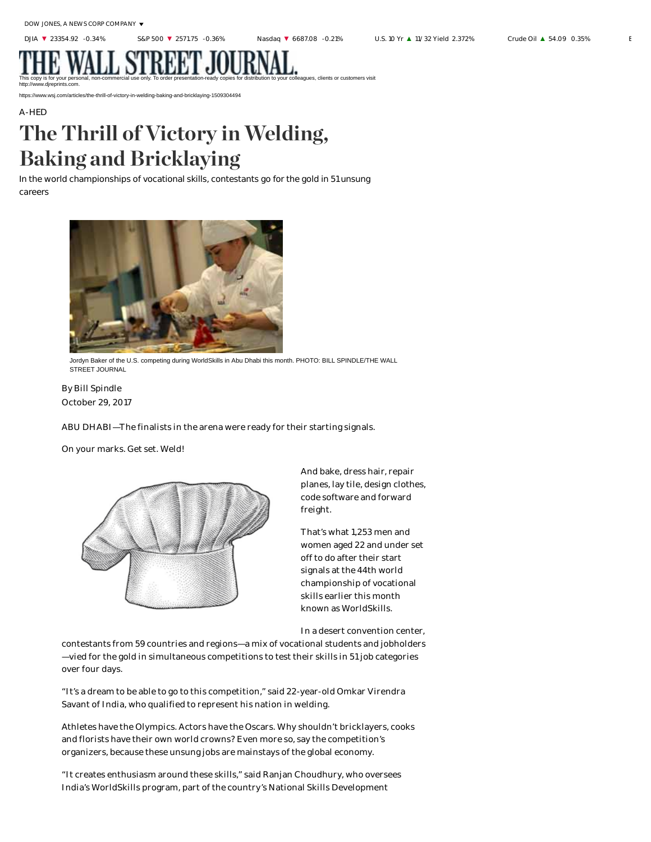## . JU

This copy is for your personal, non-commercial use only. To order presentation-ready copies for distribution to your colleagues, clients or customers visit http://www.djreprints.com.

https://www.wsj.com/articles/the-thrill-of-victory-in-welding-baking-and-bricklaying-1509304494

## A-HED The Thrill of Victory in Welding, Baking and Bricklaying

In the world championships of vocational skills, contestants go for the gold in 51 unsung careers



Jordyn Baker of the U.S. competing during WorldSkills in Abu Dhabi this month. PHOTO: BILL SPINDLE/THE WALL STREET JOURNAL

October 29, 2017 By Bill Spindle

ABU DHABI—The finalists in the arena were ready for their starting signals.

On your marks. Get set. Weld!



And bake, dress hair, repair planes, lay tile, design clothes, code software and forward freight.

That's what 1,253 men and women aged 22 and under set off to do after their start signals at the 44th world championship of vocational skills earlier this month known as WorldSkills.

In a desert convention center,

contestants from 59 countries and regions—a mix of vocational students and jobholders —vied for the gold in simultaneous competitions to test their skills in 51 job categories over four days.

"It's a dream to be able to go to this competition," said 22-year-old Omkar Virendra Savant of India, who qualified to represent his nation in welding.

Athletes have the Olympics. Actors have the Oscars. Why shouldn't bricklayers, cooks and florists have their own world crowns? Even more so, say the competition's organizers, because these unsung jobs are mainstays of the global economy.

"It creates enthusiasm around these skills," said Ranjan Choudhury, who oversees India's WorldSkills program, part of the country's National Skills Development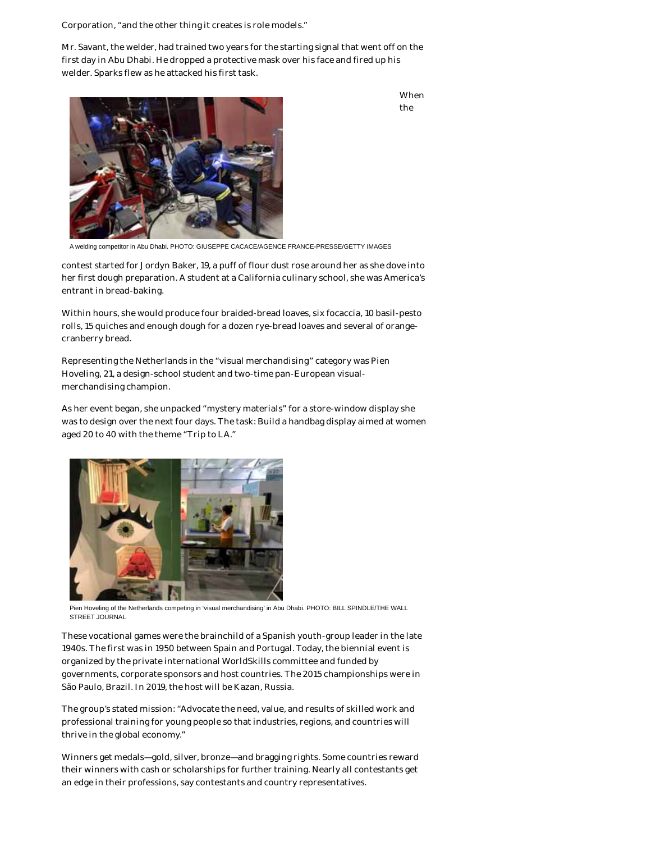Corporation, "and the other thing it creates is role models."

Mr. Savant, the welder, had trained two years for the starting signal that went off on the first day in Abu Dhabi. He dropped a protective mask over his face and fired up his welder. Sparks flew as he attacked his first task.

> When the



A welding competitor in Abu Dhabi. PHOTO: GIUSEPPE CACACE/AGENCE FRANCE-PRESSE/GETTY IMAGES

contest started for Jordyn Baker, 19, a puff of flour dust rose around her as she dove into her first dough preparation. A student at a California culinary school, she was America's entrant in bread-baking.

Within hours, she would produce four braided-bread loaves, six focaccia, 10 basil-pesto rolls, 15 quiches and enough dough for a dozen rye-bread loaves and several of orangecranberry bread.

Representing the Netherlands in the "visual merchandising" category was Pien Hoveling, 21, a design-school student and two-time pan-European visualmerchandising champion.

As her event began, she unpacked "mystery materials" for a store-window display she was to design over the next four days. The task: Build a handbag display aimed at women aged 20 to 40 with the theme "Trip to LA."



Pien Hoveling of the Netherlands competing in 'visual merchandising' in Abu Dhabi. PHOTO: BILL SPINDLE/THE WALL STREET JOURNAL

These vocational games were the brainchild of a Spanish youth-group leader in the late 1940s. The first was in 1950 between Spain and Portugal. Today, the biennial event is organized by the private international WorldSkills committee and funded by governments, corporate sponsors and host countries. The 2015 championships were in São Paulo, Brazil. In 2019, the host will be Kazan, Russia.

The group's stated mission: "Advocate the need, value, and results of skilled work and professional training for young people so that industries, regions, and countries will thrive in the global economy."

Winners get medals—gold, silver, bronze—and bragging rights. Some countries reward their winners with cash or scholarships for further training. Nearly all contestants get an edge in their professions, say contestants and country representatives.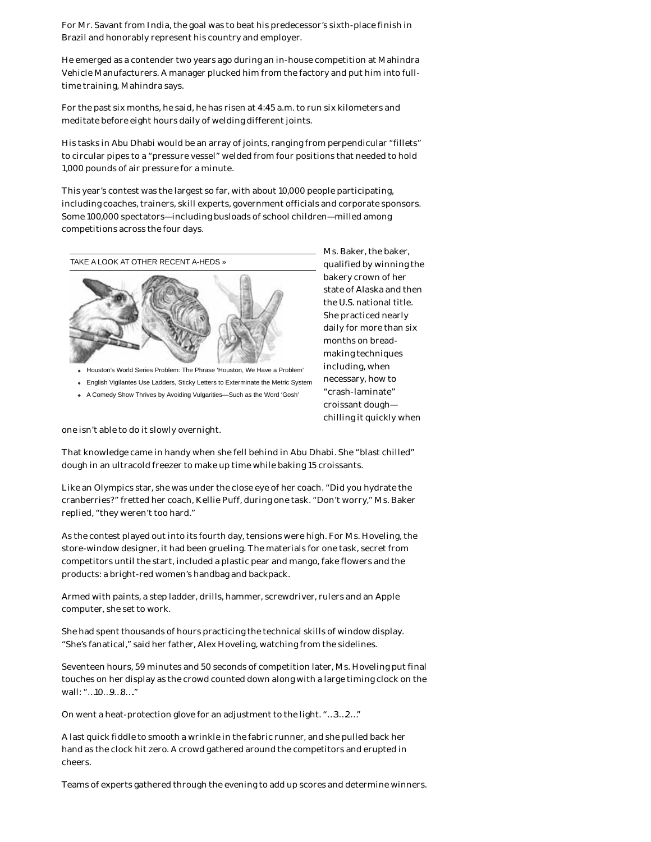For Mr. Savant from India, the goal was to beat his predecessor's sixth-place finish in Brazil and honorably represent his country and employer.

He emerged as a contender two years ago during an in-house competition at Mahindra Vehicle Manufacturers. A manager plucked him from the factory and put him into fulltime training, Mahindra says.

For the past six months, he said, he has risen at 4:45 a.m. to run six kilometers and meditate before eight hours daily of welding different joints.

His tasks in Abu Dhabi would be an array of joints, ranging from perpendicular "fillets" to circular pipes to a "pressure vessel" welded from four positions that needed to hold 1,000 pounds of air pressure for a minute.

This year's contest was the largest so far, with about 10,000 people participating, including coaches, trainers, skill experts, government officials and corporate sponsors. Some 100,000 spectators—including busloads of school children—milled among competitions across the four days.



- Houston's World Series Problem: The Phrase 'Houston, We Have a Problem'
- English Vigilantes Use Ladders, Sticky Letters to Exterminate the Metric System
- A Comedy Show Thrives by Avoiding Vulgarities—Such as the Word 'Gosh'

one isn't able to do it slowly overnight.

That knowledge came in handy when she fell behind in Abu Dhabi. She "blast chilled" dough in an ultracold freezer to make up time while baking 15 croissants.

Like an Olympics star, she was under the close eye of her coach. "Did you hydrate the cranberries?" fretted her coach, Kellie Puff, during one task. "Don't worry," Ms. Baker replied, "they weren't too hard."

As the contest played out into its fourth day, tensions were high. For Ms. Hoveling, the store-window designer, it had been grueling. The materials for one task, secret from competitors until the start, included a plastic pear and mango, fake flowers and the products: a bright-red women's handbag and backpack.

Armed with paints, a step ladder, drills, hammer, screwdriver, rulers and an Apple computer, she set to work.

She had spent thousands of hours practicing the technical skills of window display. "She's fanatical," said her father, Alex Hoveling, watching from the sidelines.

Seventeen hours, 59 minutes and 50 seconds of competition later, Ms. Hoveling put final touches on her display as the crowd counted down along with a large timing clock on the wall: "…10…9…8…."

On went a heat-protection glove for an adjustment to the light. "…3…2…"

A last quick fiddle to smooth a wrinkle in the fabric runner, and she pulled back her hand as the clock hit zero. A crowd gathered around the competitors and erupted in cheers.

Teams of experts gathered through the evening to add up scores and determine winners.

Ms. Baker, the baker, qualified by winning the bakery crown of her state of Alaska and then the U.S. national title. She practiced nearly daily for more than six months on breadmaking techniques including, when necessary, how to "crash-laminate" croissant dough chilling it quickly when